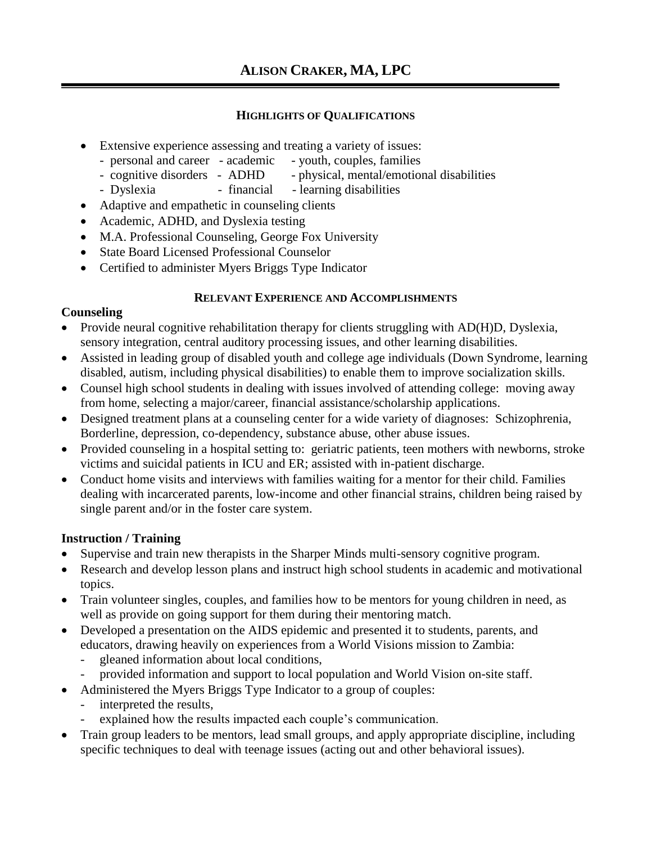## **HIGHLIGHTS OF QUALIFICATIONS**

- Extensive experience assessing and treating a variety of issues:
	- personal and career academic youth, couples, families
	- cognitive disorders ADHD physical, mental/emotional disabilities
	- Dyslexia financial learning disabilities
- Adaptive and empathetic in counseling clients
- Academic, ADHD, and Dyslexia testing
- M.A. Professional Counseling, George Fox University
- State Board Licensed Professional Counselor
- Certified to administer Myers Briggs Type Indicator

## **RELEVANT EXPERIENCE AND ACCOMPLISHMENTS**

## **Counseling**

- Provide neural cognitive rehabilitation therapy for clients struggling with AD(H)D, Dyslexia, sensory integration, central auditory processing issues, and other learning disabilities.
- Assisted in leading group of disabled youth and college age individuals (Down Syndrome, learning disabled, autism, including physical disabilities) to enable them to improve socialization skills.
- Counsel high school students in dealing with issues involved of attending college: moving away from home, selecting a major/career, financial assistance/scholarship applications.
- Designed treatment plans at a counseling center for a wide variety of diagnoses: Schizophrenia, Borderline, depression, co-dependency, substance abuse, other abuse issues.
- Provided counseling in a hospital setting to: geriatric patients, teen mothers with newborns, stroke victims and suicidal patients in ICU and ER; assisted with in-patient discharge.
- Conduct home visits and interviews with families waiting for a mentor for their child. Families dealing with incarcerated parents, low-income and other financial strains, children being raised by single parent and/or in the foster care system.

# **Instruction / Training**

- Supervise and train new therapists in the Sharper Minds multi-sensory cognitive program.
- Research and develop lesson plans and instruct high school students in academic and motivational topics.
- Train volunteer singles, couples, and families how to be mentors for young children in need, as well as provide on going support for them during their mentoring match.
- Developed a presentation on the AIDS epidemic and presented it to students, parents, and educators, drawing heavily on experiences from a World Visions mission to Zambia:
	- gleaned information about local conditions,
	- provided information and support to local population and World Vision on-site staff.
- Administered the Myers Briggs Type Indicator to a group of couples:
	- interpreted the results,
	- explained how the results impacted each couple's communication.
- Train group leaders to be mentors, lead small groups, and apply appropriate discipline, including specific techniques to deal with teenage issues (acting out and other behavioral issues).